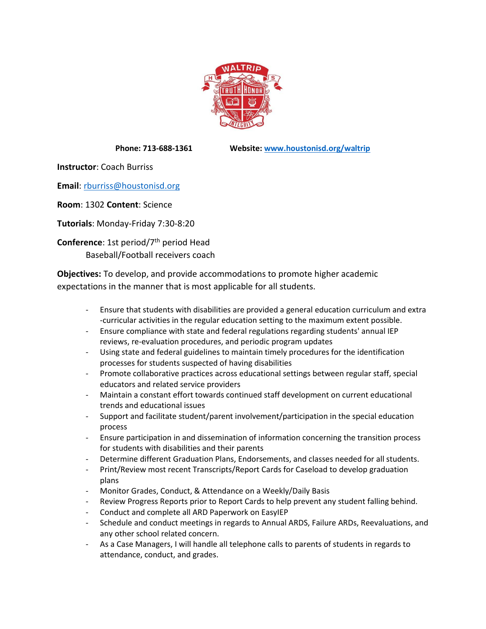

**Phone: 713-688-1361 Website: [www.houstonisd.org/waltrip](http://www.houstonisd.org/waltrip)**

**Instructor**: Coach Burriss

**Email**: [rburriss@houstonisd.org](mailto:rburriss@houstonisd.org)

**Room**: 1302 **Content**: Science

**Tutorials**: Monday-Friday 7:30-8:20

**Conference:** 1st period/7<sup>th</sup> period Head Baseball/Football receivers coach

**Objectives:** To develop, and provide accommodations to promote higher academic expectations in the manner that is most applicable for all students.

- Ensure that students with disabilities are provided a general education curriculum and extra -curricular activities in the regular education setting to the maximum extent possible.
- Ensure compliance with state and federal regulations regarding students' annual IEP reviews, re-evaluation procedures, and periodic program updates
- Using state and federal guidelines to maintain timely procedures for the identification processes for students suspected of having disabilities
- Promote collaborative practices across educational settings between regular staff, special educators and related service providers
- Maintain a constant effort towards continued staff development on current educational trends and educational issues
- Support and facilitate student/parent involvement/participation in the special education process
- Ensure participation in and dissemination of information concerning the transition process for students with disabilities and their parents
- Determine different Graduation Plans, Endorsements, and classes needed for all students.
- Print/Review most recent Transcripts/Report Cards for Caseload to develop graduation plans
- Monitor Grades, Conduct, & Attendance on a Weekly/Daily Basis
- Review Progress Reports prior to Report Cards to help prevent any student falling behind.
- Conduct and complete all ARD Paperwork on EasyIEP
- Schedule and conduct meetings in regards to Annual ARDS, Failure ARDs, Reevaluations, and any other school related concern.
- As a Case Managers, I will handle all telephone calls to parents of students in regards to attendance, conduct, and grades.